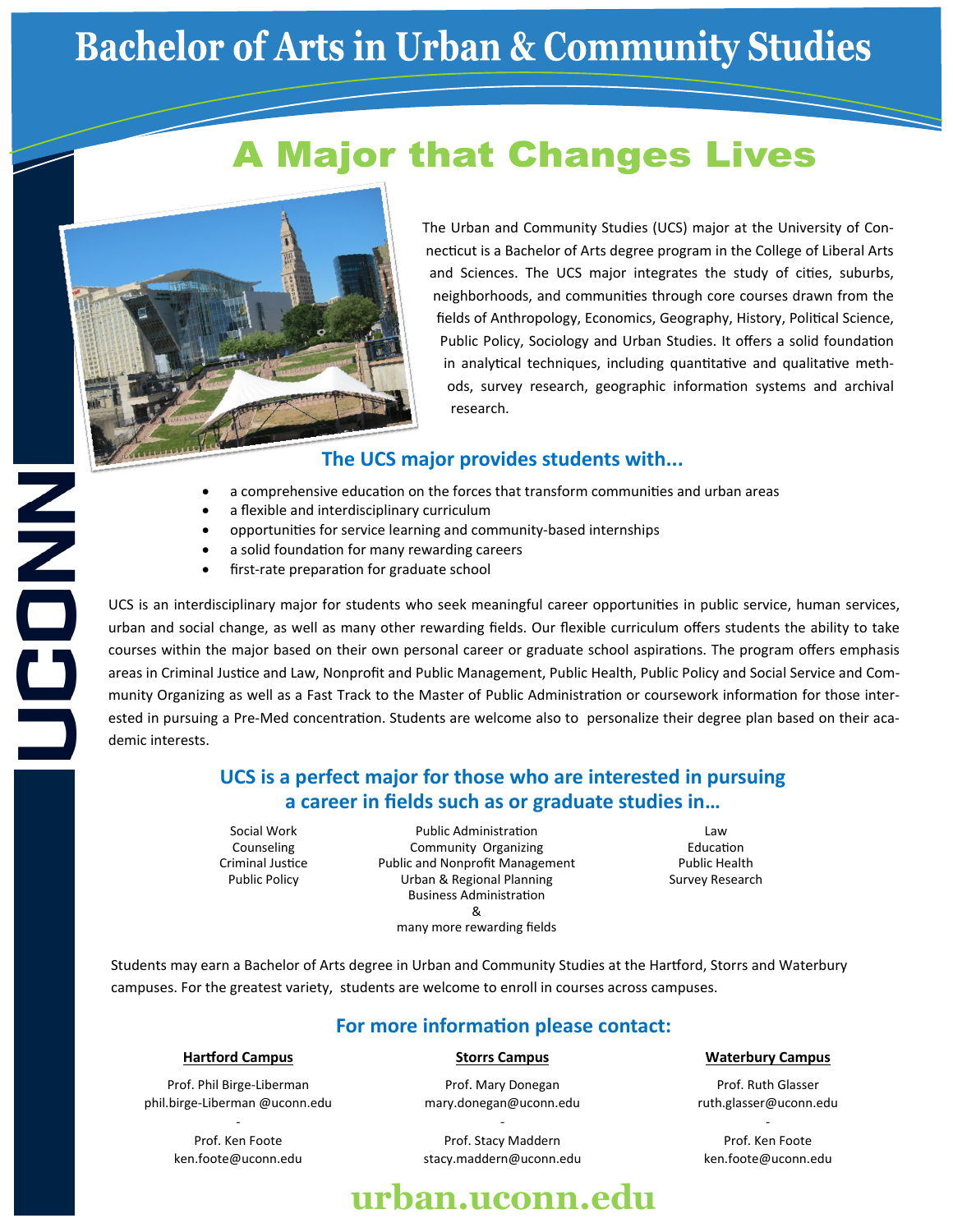# **Bachelor of Arts in Urban & Community Studies**

## **A Major that Changes Lives**



NOOD<br>Soo

The Urban and Community Studies (UCS) major at the University of Connecticut is a Bachelor of Arts degree program in the College of Liberal Arts and Sciences. The UCS major integrates the study of cities, suburbs, neighborhoods, and communities through core courses drawn from the fields of Anthropology, Economics, Geography, History, Political Science, Public Policy, Sociology and Urban Studies. It offers a solid foundation in analytical techniques, including quantitative and qualitative methods, survey research, geographic information systems and archival research.

### **The UCS major provides students with...**

- a comprehensive education on the forces that transform communities and urban areas
- a flexible and interdisciplinary curriculum
- opportunities for service learning and community-based internships
- a solid foundation for many rewarding careers
- first-rate preparation for graduate school

UCS is an interdisciplinary major for students who seek meaningful career opportunities in public service, human services, urban and social change, as well as many other rewarding fields. Our flexible curriculum offers students the ability to take courses within the major based on their own personal career or graduate school aspirations. The program offers emphasis areas in Criminal Justice and Law, Nonprofit and Public Management, Public Health, Public Policy and Social Service and Community Organizing as well as a Fast Track to the Master of Public Administration or coursework information for those interested in pursuing a Pre-Med concentration. Students are welcome also to personalize their degree plan based on their academic interests.

### **UCS is a perfect major for those who are interested in pursuing a career in fields such as or graduate studies in…**

Social Work Counseling Criminal Justice Public Policy

Prof. Phil Birge-Liberman phil.birge-Liberman @uconn.edu - Prof. Ken Foote ken.foote@uconn.edu

Public Administration Community Organizing Public and Nonprofit Management Urban & Regional Planning Business Administration & many more rewarding fields

Law Education Public Health Survey Research

Students may earn a Bachelor of Arts degree in Urban and Community Studies at the Hartford, Storrs and Waterbury campuses. For the greatest variety, students are welcome to enroll in courses across campuses.

### **For more information please contact:**

Prof. Mary Donegan mary.donegan@uconn.edu

Prof. Stacy Maddern stacy.maddern@uconn.edu

Prof. Ruth Glasser ruth.glasser@uconn.edu

- Prof. Ken Foote ken.foote@uconn.edu

## **Hartford Campus Storrs Campus Waterbury Campus**

# -

## **urban.uconn.edu**